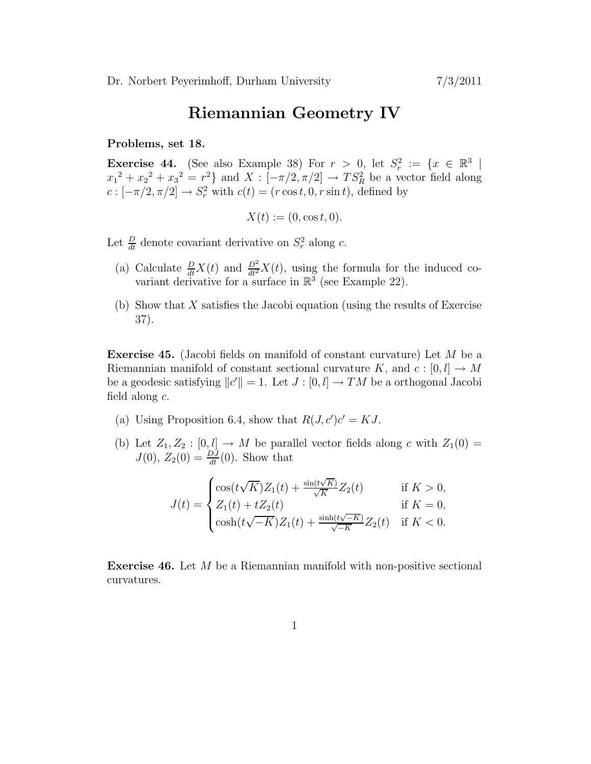## Riemannian Geometry IV

## Problems, set 18.

**Exercise 44.** (See also Example 38) For  $r > 0$ , let  $S_r^2 := \{x \in \mathbb{R}^3 \mid$  $x_1^2 + x_2^2 + x_3^2 = r^2$  and  $X : [-\pi/2, \pi/2] \to TS_R^2$  be a vector field along  $c: [-\pi/2, \pi/2] \to S_r^2$  with  $c(t) = (r \cos t, 0, r \sin t)$ , defined by

$$
X(t) := (0, \cos t, 0).
$$

Let  $\frac{D}{dt}$  denote covariant derivative on  $S_r^2$  along c.

- (a) Calculate  $\frac{D}{dt}X(t)$  and  $\frac{D^2}{dt^2}X(t)$ , using the formula for the induced covariant derivative for a surface in  $\mathbb{R}^3$  (see Example 22).
- (b) Show that X satisfies the Jacobi equation (using the results of Exercise 37).

Exercise 45. (Jacobi fields on manifold of constant curvature) Let M be a Riemannian manifold of constant sectional curvature K, and  $c : [0, l] \to M$ be a geodesic satisfying  $||c'|| = 1$ . Let  $J : [0, l] \to TM$  be a orthogonal Jacobi field along  $c$ .

- (a) Using Proposition 6.4, show that  $R(J, c')c' = KJ$ .
- (b) Let  $Z_1, Z_2 : [0, l] \to M$  be parallel vector fields along c with  $Z_1(0) =$  $J(0), Z_2(0) = \frac{DJ}{dt}(0)$ . Show that

$$
J(t) = \begin{cases} \cos(t\sqrt{K})Z_1(t) + \frac{\sin(t\sqrt{K})}{\sqrt{K}}Z_2(t) & \text{if } K > 0, \\ Z_1(t) + tZ_2(t) & \text{if } K = 0, \\ \cosh(t\sqrt{-K})Z_1(t) + \frac{\sinh(t\sqrt{-K})}{\sqrt{-K}}Z_2(t) & \text{if } K < 0. \end{cases}
$$

Exercise 46. Let M be a Riemannian manifold with non-positive sectional curvatures.